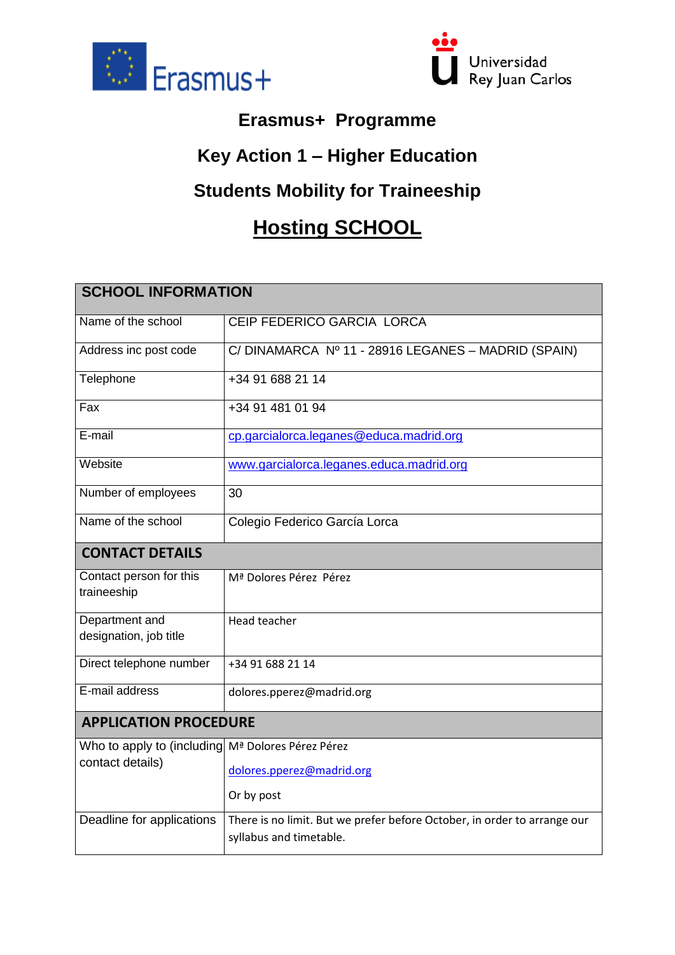



## **Erasmus+ Programme**

## **Key Action 1 – Higher Education**

## **Students Mobility for Traineeship**

## **Hosting SCHOOL**

| <b>SCHOOL INFORMATION</b>                         |                                                                                                     |  |
|---------------------------------------------------|-----------------------------------------------------------------------------------------------------|--|
| Name of the school                                | CEIP FEDERICO GARCIA LORCA                                                                          |  |
| Address inc post code                             | C/DINAMARCA Nº 11 - 28916 LEGANES - MADRID (SPAIN)                                                  |  |
| Telephone                                         | +34 91 688 21 14                                                                                    |  |
| Fax                                               | +34 91 481 01 94                                                                                    |  |
| E-mail                                            | cp.garcialorca.leganes@educa.madrid.org                                                             |  |
| Website                                           | www.garcialorca.leganes.educa.madrid.org                                                            |  |
| Number of employees                               | 30                                                                                                  |  |
| Name of the school                                | Colegio Federico García Lorca                                                                       |  |
| <b>CONTACT DETAILS</b>                            |                                                                                                     |  |
| Contact person for this<br>traineeship            | Mª Dolores Pérez Pérez                                                                              |  |
| Department and<br>designation, job title          | <b>Head teacher</b>                                                                                 |  |
| Direct telephone number                           | +34 91 688 21 14                                                                                    |  |
| E-mail address                                    | dolores.pperez@madrid.org                                                                           |  |
| <b>APPLICATION PROCEDURE</b>                      |                                                                                                     |  |
| Who to apply to (including Mª Dolores Pérez Pérez |                                                                                                     |  |
| contact details)                                  | dolores.pperez@madrid.org                                                                           |  |
|                                                   | Or by post                                                                                          |  |
| Deadline for applications                         | There is no limit. But we prefer before October, in order to arrange our<br>syllabus and timetable. |  |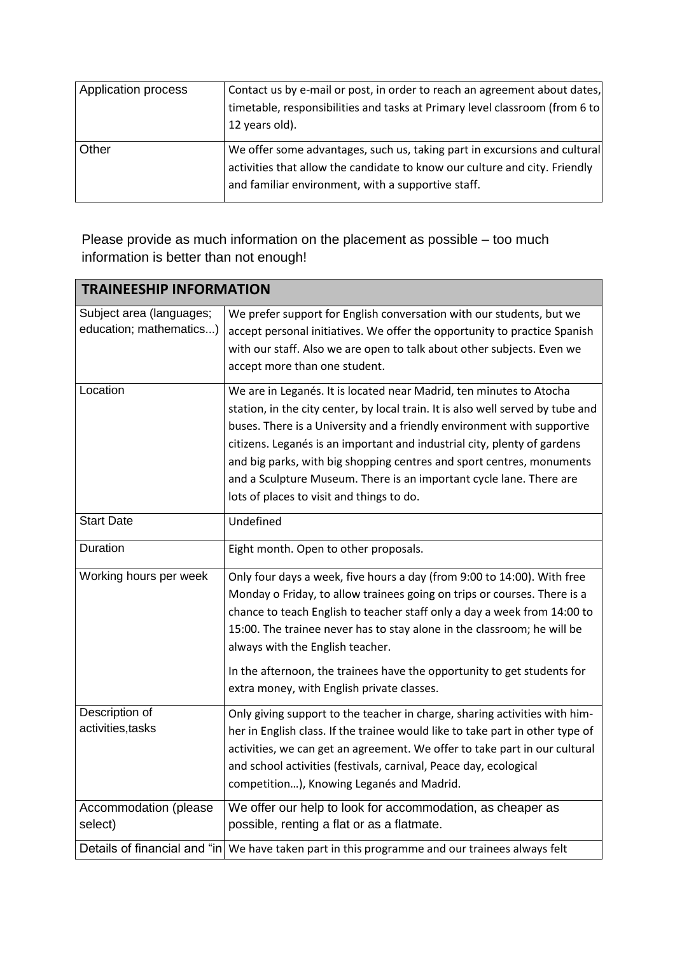| Application process | Contact us by e-mail or post, in order to reach an agreement about dates,   |
|---------------------|-----------------------------------------------------------------------------|
|                     | timetable, responsibilities and tasks at Primary level classroom (from 6 to |
|                     | 12 years old).                                                              |
| Other               | We offer some advantages, such us, taking part in excursions and cultural   |
|                     | activities that allow the candidate to know our culture and city. Friendly  |
|                     | and familiar environment, with a supportive staff.                          |

Please provide as much information on the placement as possible – too much information is better than not enough!

| <b>TRAINEESHIP INFORMATION</b>                      |                                                                                                                                                                                                                                                                                                                                                                                                                                                                                                            |  |
|-----------------------------------------------------|------------------------------------------------------------------------------------------------------------------------------------------------------------------------------------------------------------------------------------------------------------------------------------------------------------------------------------------------------------------------------------------------------------------------------------------------------------------------------------------------------------|--|
| Subject area (languages;<br>education; mathematics) | We prefer support for English conversation with our students, but we<br>accept personal initiatives. We offer the opportunity to practice Spanish<br>with our staff. Also we are open to talk about other subjects. Even we<br>accept more than one student.                                                                                                                                                                                                                                               |  |
| Location                                            | We are in Leganés. It is located near Madrid, ten minutes to Atocha<br>station, in the city center, by local train. It is also well served by tube and<br>buses. There is a University and a friendly environment with supportive<br>citizens. Leganés is an important and industrial city, plenty of gardens<br>and big parks, with big shopping centres and sport centres, monuments<br>and a Sculpture Museum. There is an important cycle lane. There are<br>lots of places to visit and things to do. |  |
| <b>Start Date</b>                                   | Undefined                                                                                                                                                                                                                                                                                                                                                                                                                                                                                                  |  |
| Duration                                            | Eight month. Open to other proposals.                                                                                                                                                                                                                                                                                                                                                                                                                                                                      |  |
| Working hours per week                              | Only four days a week, five hours a day (from 9:00 to 14:00). With free<br>Monday o Friday, to allow trainees going on trips or courses. There is a<br>chance to teach English to teacher staff only a day a week from 14:00 to<br>15:00. The trainee never has to stay alone in the classroom; he will be<br>always with the English teacher.<br>In the afternoon, the trainees have the opportunity to get students for<br>extra money, with English private classes.                                    |  |
| Description of<br>activities, tasks                 | Only giving support to the teacher in charge, sharing activities with him-<br>her in English class. If the trainee would like to take part in other type of<br>activities, we can get an agreement. We offer to take part in our cultural<br>and school activities (festivals, carnival, Peace day, ecological<br>competition), Knowing Leganés and Madrid.                                                                                                                                                |  |
| Accommodation (please<br>select)                    | We offer our help to look for accommodation, as cheaper as<br>possible, renting a flat or as a flatmate.                                                                                                                                                                                                                                                                                                                                                                                                   |  |
|                                                     | Details of financial and "in We have taken part in this programme and our trainees always felt                                                                                                                                                                                                                                                                                                                                                                                                             |  |